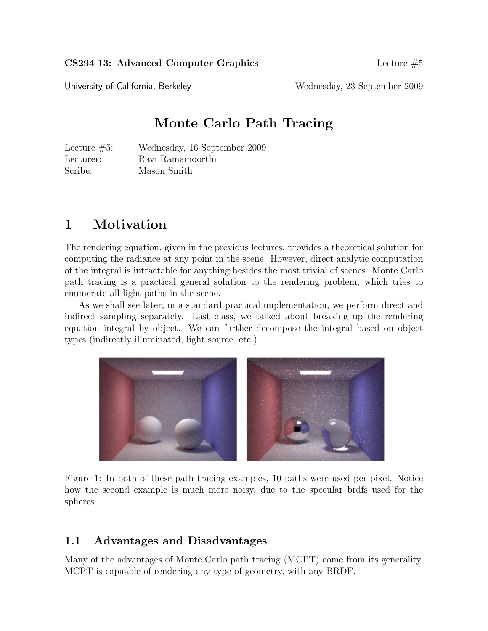University of California, Berkeley Wednesday, 23 September 2009

# Monte Carlo Path Tracing

Lecture #5: Wednesday, 16 September 2009 Lecturer: Ravi Ramamoorthi Scribe: Mason Smith

# 1 Motivation

The rendering equation, given in the previous lectures, provides a theoretical solution for computing the radiance at any point in the scene. However, direct analytic computation of the integral is intractable for anything besides the most trivial of scenes. Monte Carlo path tracing is a practical general solution to the rendering problem, which tries to enumerate all light paths in the scene.

As we shall see later, in a standard practical implementation, we perform direct and indirect sampling separately. Last class, we talked about breaking up the rendering equation integral by object. We can further decompose the integral based on object types (indirectly illuminated, light source, etc.)



Figure 1: In both of these path tracing examples, 10 paths were used per pixel. Notice how the second example is much more noisy, due to the specular brdfs used for the spheres.

### 1.1 Advantages and Disadvantages

Many of the advantages of Monte Carlo path tracing (MCPT) come from its generality. MCPT is capaable of rendering any type of geometry, with any BRDF.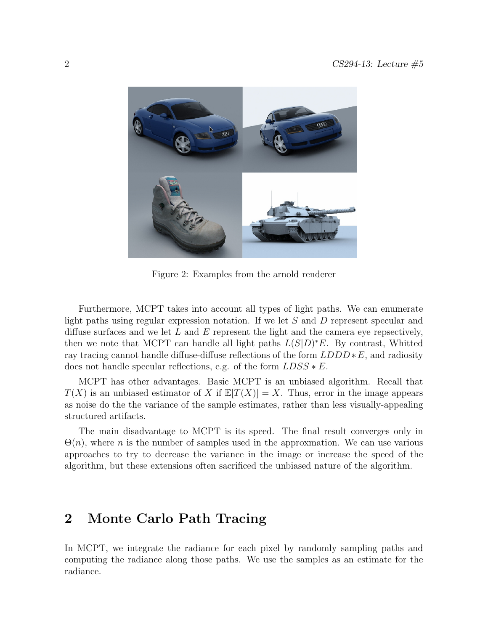

Figure 2: Examples from the arnold renderer

Furthermore, MCPT takes into account all types of light paths. We can enumerate light paths using regular expression notation. If we let S and D represent specular and diffuse surfaces and we let  $L$  and  $E$  represent the light and the camera eye repsectively, then we note that MCPT can handle all light paths  $L(S|D)^*E$ . By contrast, Whitted ray tracing cannot handle diffuse-diffuse reflections of the form  $LDDD * E$ , and radiosity does not handle specular reflections, e.g. of the form  $LDSS * E$ .

MCPT has other advantages. Basic MCPT is an unbiased algorithm. Recall that  $T(X)$  is an unbiased estimator of X if  $\mathbb{E}[T(X)] = X$ . Thus, error in the image appears as noise do the the variance of the sample estimates, rather than less visually-appealing structured artifacts.

The main disadvantage to MCPT is its speed. The final result converges only in  $\Theta(n)$ , where n is the number of samples used in the approximation. We can use various approaches to try to decrease the variance in the image or increase the speed of the algorithm, but these extensions often sacrificed the unbiased nature of the algorithm.

### 2 Monte Carlo Path Tracing

In MCPT, we integrate the radiance for each pixel by randomly sampling paths and computing the radiance along those paths. We use the samples as an estimate for the radiance.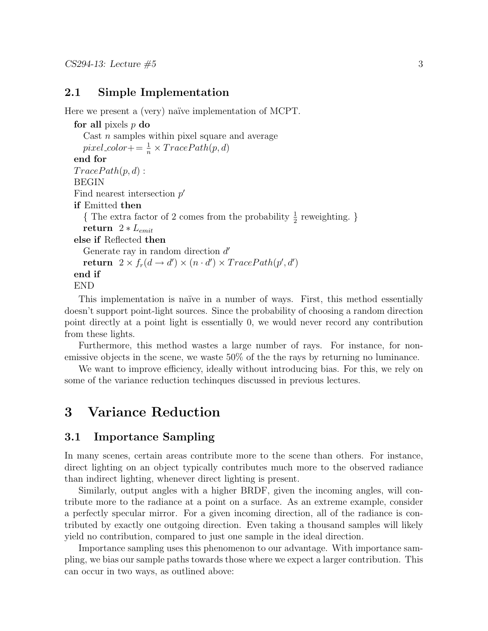### 2.1 Simple Implementation

Here we present a (very) naïve implementation of MCPT.

```
for all pixels p do
  Cast n samples within pixel square and average
  pixel-color += \frac{1}{n} \times TracePath(p, d)end for
TracePath(p, d):
BEGIN
Find nearest intersection p'if Emitted then
  { The extra factor of 2 comes from the probability \frac{1}{2} reweighting. }
  return 2 ∗ L_{emit}else if Reflected then
  Generate ray in random direction d'return 2 \times f_r(d \to d') \times (n \cdot d') \times TracePath(p', d')end if
END
```
This implementation is naïve in a number of ways. First, this method essentially doesn't support point-light sources. Since the probability of choosing a random direction point directly at a point light is essentially 0, we would never record any contribution from these lights.

Furthermore, this method wastes a large number of rays. For instance, for nonemissive objects in the scene, we waste 50% of the the rays by returning no luminance.

We want to improve efficiency, ideally without introducing bias. For this, we rely on some of the variance reduction techinques discussed in previous lectures.

## 3 Variance Reduction

#### 3.1 Importance Sampling

In many scenes, certain areas contribute more to the scene than others. For instance, direct lighting on an object typically contributes much more to the observed radiance than indirect lighting, whenever direct lighting is present.

Similarly, output angles with a higher BRDF, given the incoming angles, will contribute more to the radiance at a point on a surface. As an extreme example, consider a perfectly specular mirror. For a given incoming direction, all of the radiance is contributed by exactly one outgoing direction. Even taking a thousand samples will likely yield no contribution, compared to just one sample in the ideal direction.

Importance sampling uses this phenomenon to our advantage. With importance sampling, we bias our sample paths towards those where we expect a larger contribution. This can occur in two ways, as outlined above: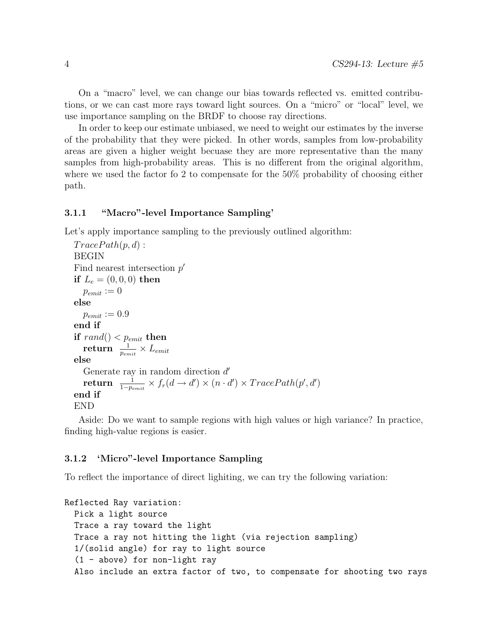On a "macro" level, we can change our bias towards reflected vs. emitted contributions, or we can cast more rays toward light sources. On a "micro" or "local" level, we use importance sampling on the BRDF to choose ray directions.

In order to keep our estimate unbiased, we need to weight our estimates by the inverse of the probability that they were picked. In other words, samples from low-probability areas are given a higher weight becuase they are more representative than the many samples from high-probability areas. This is no different from the original algorithm, where we used the factor fo 2 to compensate for the 50% probability of choosing either path.

#### 3.1.1 "Macro"-level Importance Sampling'

Let's apply importance sampling to the previously outlined algorithm:

```
TracePath(p, d):
BEGIN
Find nearest intersection p'if L_e = (0, 0, 0) then
   p_{emit} := 0else
   p_{emit} := 0.9end if
if rand() < p_{emit} then
   \textbf{return}~~\frac{1}{p_{emit}} \times L_{emit}else
   Generate ray in random direction d'\textbf{return} \;\; \frac{1}{1-p_{emit}} \times f_r(d \to d') \times (n \cdot d') \times TracePath(p', d')end if
END
```
Aside: Do we want to sample regions with high values or high variance? In practice, finding high-value regions is easier.

#### 3.1.2 'Micro"-level Importance Sampling

To reflect the importance of direct lighiting, we can try the following variation:

```
Reflected Ray variation:
 Pick a light source
 Trace a ray toward the light
  Trace a ray not hitting the light (via rejection sampling)
  1/(solid angle) for ray to light source
  (1 - above) for non-light ray
  Also include an extra factor of two, to compensate for shooting two rays
```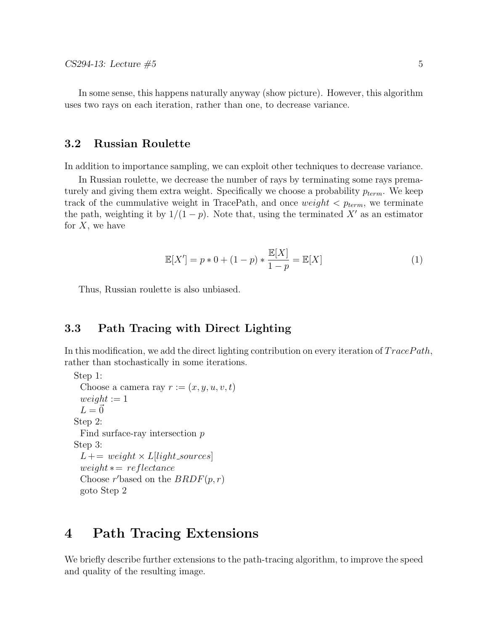In some sense, this happens naturally anyway (show picture). However, this algorithm uses two rays on each iteration, rather than one, to decrease variance.

#### 3.2 Russian Roulette

In addition to importance sampling, we can exploit other techniques to decrease variance.

In Russian roulette, we decrease the number of rays by terminating some rays prematurely and giving them extra weight. Specifically we choose a probability  $p_{term}$ . We keep track of the cummulative weight in TracePath, and once weight  $\langle p_{term},$  we terminate the path, weighting it by  $1/(1-p)$ . Note that, using the terminated X' as an estimator for  $X$ , we have

$$
\mathbb{E}[X'] = p * 0 + (1 - p) * \frac{\mathbb{E}[X]}{1 - p} = \mathbb{E}[X]
$$
 (1)

Thus, Russian roulette is also unbiased.

### 3.3 Path Tracing with Direct Lighting

In this modification, we add the direct lighting contribution on every iteration of  $TracePath$ , rather than stochastically in some iterations.

```
Step 1:
 Choose a camera ray r := (x, y, u, v, t)weight := 1L = \vec{0}Step 2:
 Find surface-ray intersection p
Step 3:
 L += weight \times L[light\_sources]weight \times = reflectanceChoose r'based on the BRDF(p,r)goto Step 2
```
### 4 Path Tracing Extensions

We briefly describe further extensions to the path-tracing algorithm, to improve the speed and quality of the resulting image.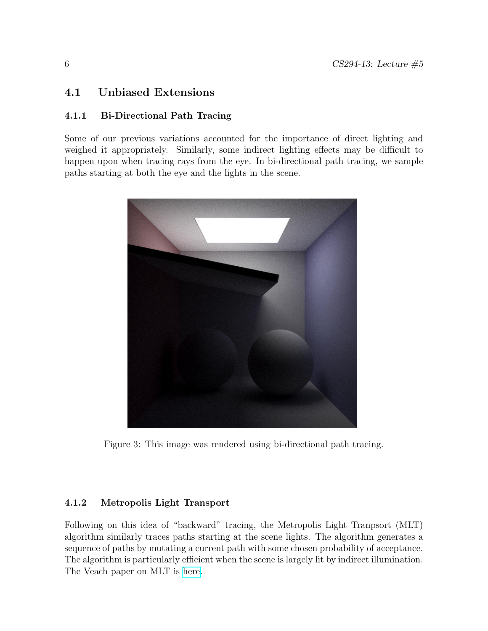### 4.1 Unbiased Extensions

### 4.1.1 Bi-Directional Path Tracing

Some of our previous variations accounted for the importance of direct lighting and weighed it appropriately. Similarly, some indirect lighting effects may be difficult to happen upon when tracing rays from the eye. In bi-directional path tracing, we sample paths starting at both the eye and the lights in the scene.



Figure 3: This image was rendered using bi-directional path tracing.

### 4.1.2 Metropolis Light Transport

Following on this idea of "backward" tracing, the Metropolis Light Tranpsort (MLT) algorithm similarly traces paths starting at the scene lights. The algorithm generates a sequence of paths by mutating a current path with some chosen probability of acceptance. The algorithm is particularly efficient when the scene is largely lit by indirect illumination. The Veach paper on MLT is [here.](http://graphics.stanford.edu/papers/metro/)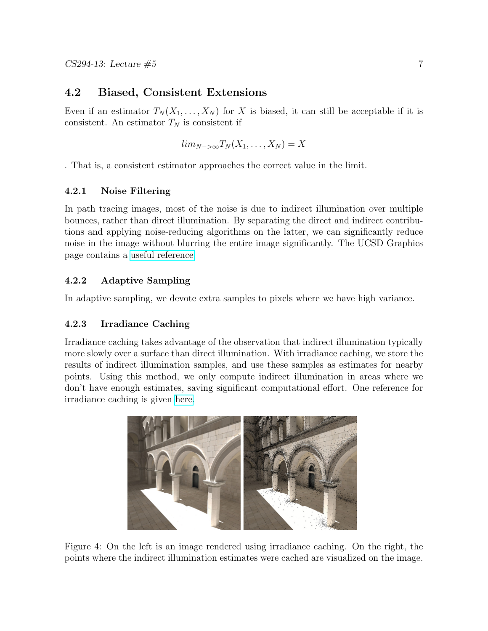### 4.2 Biased, Consistent Extensions

Even if an estimator  $T_N(X_1, \ldots, X_N)$  for X is biased, it can still be acceptable if it is consistent. An estimator  $T_N$  is consistent if

$$
lim_{N->\infty}T_N(X_1,\ldots,X_N)=X
$$

. That is, a consistent estimator approaches the correct value in the limit.

#### 4.2.1 Noise Filtering

In path tracing images, most of the noise is due to indirect illumination over multiple bounces, rather than direct illumination. By separating the direct and indirect contributions and applying noise-reducing algorithms on the latter, we can significantly reduce noise in the image without blurring the entire image significantly. The UCSD Graphics page contains a [useful reference.](http://graphics.ucsd.edu/~henrik/papers/filtering_path_tracing/)

#### 4.2.2 Adaptive Sampling

In adaptive sampling, we devote extra samples to pixels where we have high variance.

#### 4.2.3 Irradiance Caching

Irradiance caching takes advantage of the observation that indirect illumination typically more slowly over a surface than direct illumination. With irradiance caching, we store the results of indirect illumination samples, and use these samples as estimates for nearby points. Using this method, we only compute indirect illumination in areas where we don't have enough estimates, saving significant computational effort. One reference for irradiance caching is given [here.](http://www.graphics.cornell.edu/~jaroslav/papers/2008-irradiance_caching_class/index.htm)



Figure 4: On the left is an image rendered using irradiance caching. On the right, the points where the indirect illumination estimates were cached are visualized on the image.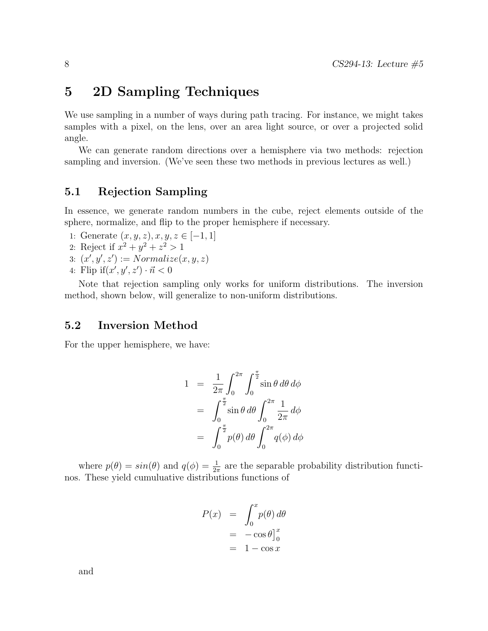## 5 2D Sampling Techniques

We use sampling in a number of ways during path tracing. For instance, we might takes samples with a pixel, on the lens, over an area light source, or over a projected solid angle.

We can generate random directions over a hemisphere via two methods: rejection sampling and inversion. (We've seen these two methods in previous lectures as well.)

### 5.1 Rejection Sampling

In essence, we generate random numbers in the cube, reject elements outside of the sphere, normalize, and flip to the proper hemisphere if necessary.

- 1: Generate  $(x, y, z), x, y, z \in [-1, 1]$
- 2: Reject if  $x^2 + y^2 + z^2 > 1$
- 3:  $(x', y', z') := Normalize(x, y, z)$
- 4: Flip if  $(x', y', z') \cdot \vec{n} < 0$

Note that rejection sampling only works for uniform distributions. The inversion method, shown below, will generalize to non-uniform distributions.

### 5.2 Inversion Method

For the upper hemisphere, we have:

$$
1 = \frac{1}{2\pi} \int_0^{2\pi} \int_0^{\frac{\pi}{2}} \sin \theta \, d\theta \, d\phi
$$
  
= 
$$
\int_0^{\frac{\pi}{2}} \sin \theta \, d\theta \int_0^{2\pi} \frac{1}{2\pi} \, d\phi
$$
  
= 
$$
\int_0^{\frac{\pi}{2}} p(\theta) \, d\theta \int_0^{2\pi} q(\phi) \, d\phi
$$

where  $p(\theta) = \sin(\theta)$  and  $q(\phi) = \frac{1}{2\pi}$  are the separable probability distribution functinos. These yield cumuluative distributions functions of

$$
P(x) = \int_0^x p(\theta) d\theta
$$
  
= -\cos \theta]\_0^x  
= 1 - \cos x

and